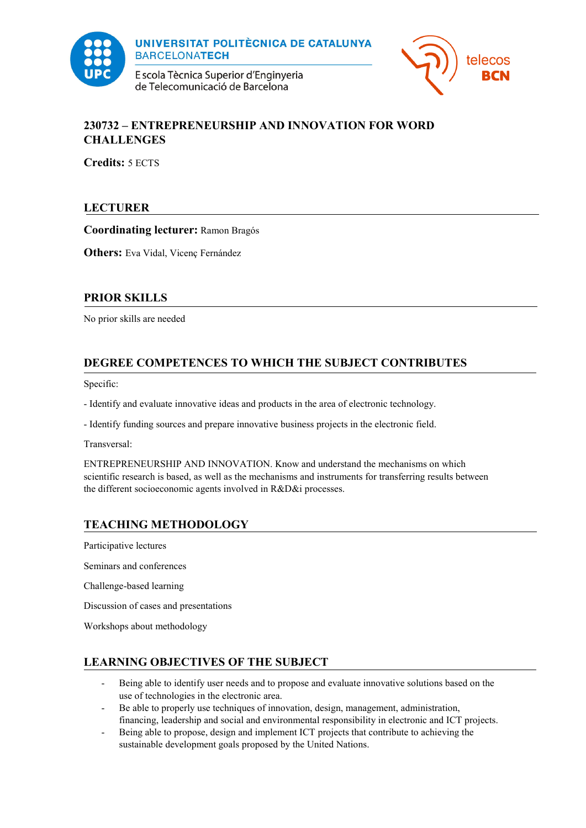

**UNIVERSITAT POLITÈCNICA DE CATALUNYA BARCELONATECH** 

E scola Tècnica Superior d'Enginyeria de Telecomunicació de Barcelona



### **230732 – ENTREPRENEURSHIP AND INNOVATION FOR WORD CHALLENGES**

**Credits:** 5 ECTS

## **LECTURER**

**Coordinating lecturer:** Ramon Bragós

**Others:** Eva Vidal, Vicenç Fernández

## **PRIOR SKILLS**

No prior skills are needed

# **DEGREE COMPETENCES TO WHICH THE SUBJECT CONTRIBUTES**

Specific:

- Identify and evaluate innovative ideas and products in the area of electronic technology.

- Identify funding sources and prepare innovative business projects in the electronic field.

Transversal:

ENTREPRENEURSHIP AND INNOVATION. Know and understand the mechanisms on which scientific research is based, as well as the mechanisms and instruments for transferring results between the different socioeconomic agents involved in R&D&i processes.

### **TEACHING METHODOLOGY**

Participative lectures

Seminars and conferences

Challenge-based learning

Discussion of cases and presentations

Workshops about methodology

### **LEARNING OBJECTIVES OF THE SUBJECT**

- Being able to identify user needs and to propose and evaluate innovative solutions based on the use of technologies in the electronic area.
- Be able to properly use techniques of innovation, design, management, administration, financing, leadership and social and environmental responsibility in electronic and ICT projects.
- Being able to propose, design and implement ICT projects that contribute to achieving the sustainable development goals proposed by the United Nations.